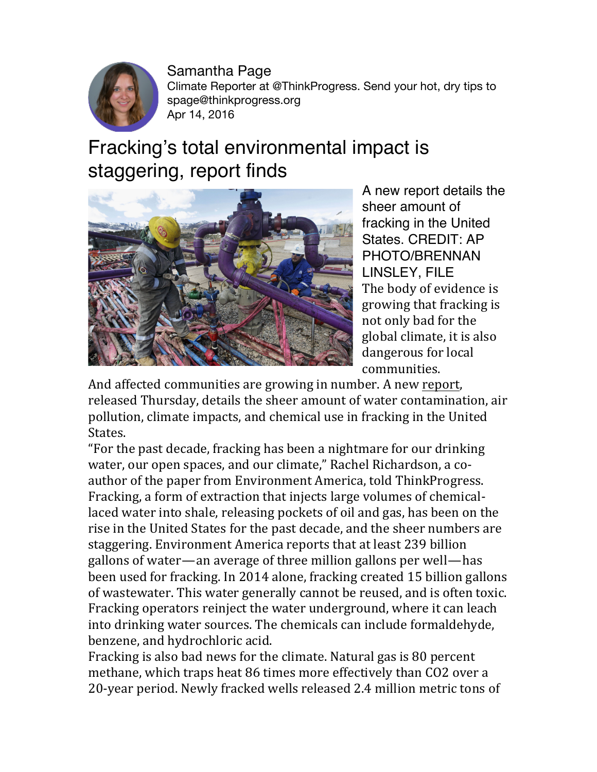

Samantha Page Climate Reporter at @ThinkProgress. Send your hot, dry tips to spage@thinkprogress.org Apr 14, 2016

## Fracking's total environmental impact is staggering, report finds



A new report details the sheer amount of fracking in the United States. CREDIT: AP PHOTO/BRENNAN LINSLEY, FILE The body of evidence is growing that fracking is not only bad for the global climate, it is also dangerous for local communities.

And affected communities are growing in number. A new report, released Thursday, details the sheer amount of water contamination, air pollution, climate impacts, and chemical use in fracking in the United States.

"For the past decade, fracking has been a nightmare for our drinking water, our open spaces, and our climate," Rachel Richardson, a coauthor of the paper from Environment America, told ThinkProgress. Fracking, a form of extraction that injects large volumes of chemicallaced water into shale, releasing pockets of oil and gas, has been on the rise in the United States for the past decade, and the sheer numbers are staggering. Environment America reports that at least 239 billion gallons of water—an average of three million gallons per well—has been used for fracking. In 2014 alone, fracking created 15 billion gallons of wastewater. This water generally cannot be reused, and is often toxic. Fracking operators reinject the water underground, where it can leach into drinking water sources. The chemicals can include formaldehyde, benzene, and hydrochloric acid.

Fracking is also bad news for the climate. Natural gas is 80 percent methane, which traps heat 86 times more effectively than CO2 over a 20-year period. Newly fracked wells released 2.4 million metric tons of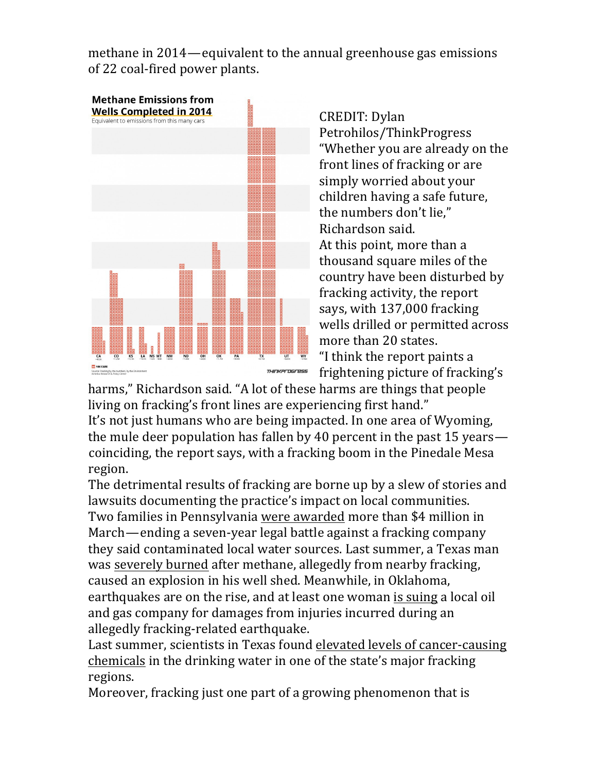methane in 2014—equivalent to the annual greenhouse gas emissions of 22 coal-fired power plants.



CREDIT: Dylan Petrohilos/ThinkProgress "Whether you are already on the front lines of fracking or are simply worried about your children having a safe future, the numbers don't lie," Richardson said. At this point, more than a thousand square miles of the country have been disturbed by fracking activity, the report says, with 137,000 fracking wells drilled or permitted across more than 20 states. "I think the report paints a frightening picture of fracking's

harms," Richardson said. "A lot of these harms are things that people living on fracking's front lines are experiencing first hand."

It's not just humans who are being impacted. In one area of Wyoming, the mule deer population has fallen by 40 percent in the past 15 years coinciding, the report says, with a fracking boom in the Pinedale Mesa region.

The detrimental results of fracking are borne up by a slew of stories and lawsuits documenting the practice's impact on local communities. Two families in Pennsylvania were awarded more than \$4 million in March—ending a seven-year legal battle against a fracking company they said contaminated local water sources. Last summer, a Texas man was severely burned after methane, allegedly from nearby fracking, caused an explosion in his well shed. Meanwhile, in Oklahoma, earthquakes are on the rise, and at least one woman is suing a local oil and gas company for damages from injuries incurred during an allegedly fracking-related earthquake.

Last summer, scientists in Texas found elevated levels of cancer-causing chemicals in the drinking water in one of the state's major fracking regions.

Moreover, fracking just one part of a growing phenomenon that is